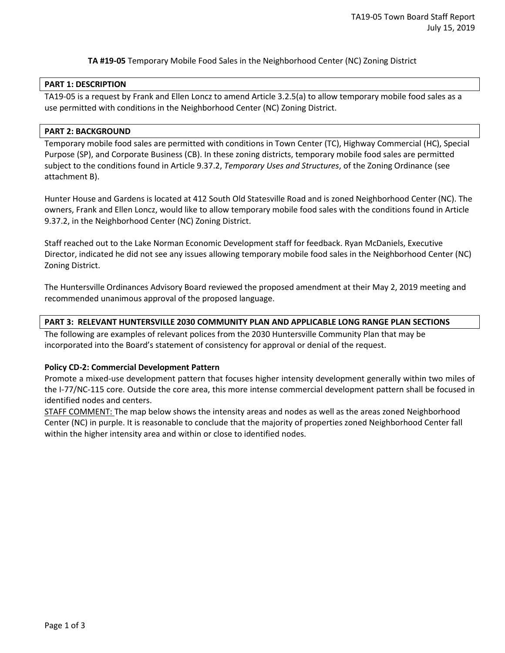**TA #19-05** Temporary Mobile Food Sales in the Neighborhood Center (NC) Zoning District

#### **PART 1: DESCRIPTION**

TA19-05 is a request by Frank and Ellen Loncz to amend Article 3.2.5(a) to allow temporary mobile food sales as a use permitted with conditions in the Neighborhood Center (NC) Zoning District.

### **PART 2: BACKGROUND**

Temporary mobile food sales are permitted with conditions in Town Center (TC), Highway Commercial (HC), Special Purpose (SP), and Corporate Business (CB). In these zoning districts, temporary mobile food sales are permitted subject to the conditions found in Article 9.37.2, *Temporary Uses and Structures*, of the Zoning Ordinance (see attachment B).

Hunter House and Gardens is located at 412 South Old Statesville Road and is zoned Neighborhood Center (NC). The owners, Frank and Ellen Loncz, would like to allow temporary mobile food sales with the conditions found in Article 9.37.2, in the Neighborhood Center (NC) Zoning District.

Staff reached out to the Lake Norman Economic Development staff for feedback. Ryan McDaniels, Executive Director, indicated he did not see any issues allowing temporary mobile food sales in the Neighborhood Center (NC) Zoning District.

The Huntersville Ordinances Advisory Board reviewed the proposed amendment at their May 2, 2019 meeting and recommended unanimous approval of the proposed language.

### **PART 3: RELEVANT HUNTERSVILLE 2030 COMMUNITY PLAN AND APPLICABLE LONG RANGE PLAN SECTIONS**

The following are examples of relevant polices from the 2030 Huntersville Community Plan that may be incorporated into the Board's statement of consistency for approval or denial of the request.

## **Policy CD-2: Commercial Development Pattern**

Promote a mixed-use development pattern that focuses higher intensity development generally within two miles of the I-77/NC-115 core. Outside the core area, this more intense commercial development pattern shall be focused in identified nodes and centers.

STAFF COMMENT: The map below shows the intensity areas and nodes as well as the areas zoned Neighborhood Center (NC) in purple. It is reasonable to conclude that the majority of properties zoned Neighborhood Center fall within the higher intensity area and within or close to identified nodes.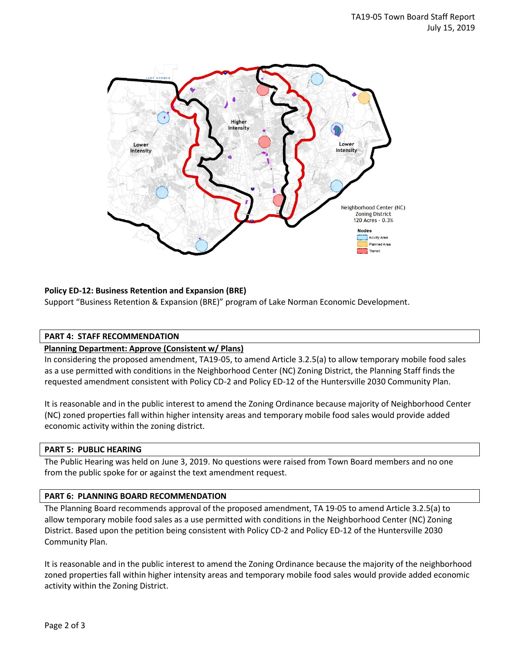

# **Policy ED-12: Business Retention and Expansion (BRE)**

Support "Business Retention & Expansion (BRE)" program of Lake Norman Economic Development.

## **PART 4: STAFF RECOMMENDATION**

#### **Planning Department: Approve (Consistent w/ Plans)**

In considering the proposed amendment, TA19-05, to amend Article 3.2.5(a) to allow temporary mobile food sales as a use permitted with conditions in the Neighborhood Center (NC) Zoning District, the Planning Staff finds the requested amendment consistent with Policy CD-2 and Policy ED-12 of the Huntersville 2030 Community Plan.

It is reasonable and in the public interest to amend the Zoning Ordinance because majority of Neighborhood Center (NC) zoned properties fall within higher intensity areas and temporary mobile food sales would provide added economic activity within the zoning district.

#### **PART 5: PUBLIC HEARING**

The Public Hearing was held on June 3, 2019. No questions were raised from Town Board members and no one from the public spoke for or against the text amendment request.

#### **PART 6: PLANNING BOARD RECOMMENDATION**

The Planning Board recommends approval of the proposed amendment, TA 19-05 to amend Article 3.2.5(a) to allow temporary mobile food sales as a use permitted with conditions in the Neighborhood Center (NC) Zoning District. Based upon the petition being consistent with Policy CD-2 and Policy ED-12 of the Huntersville 2030 Community Plan.

It is reasonable and in the public interest to amend the Zoning Ordinance because the majority of the neighborhood zoned properties fall within higher intensity areas and temporary mobile food sales would provide added economic activity within the Zoning District.